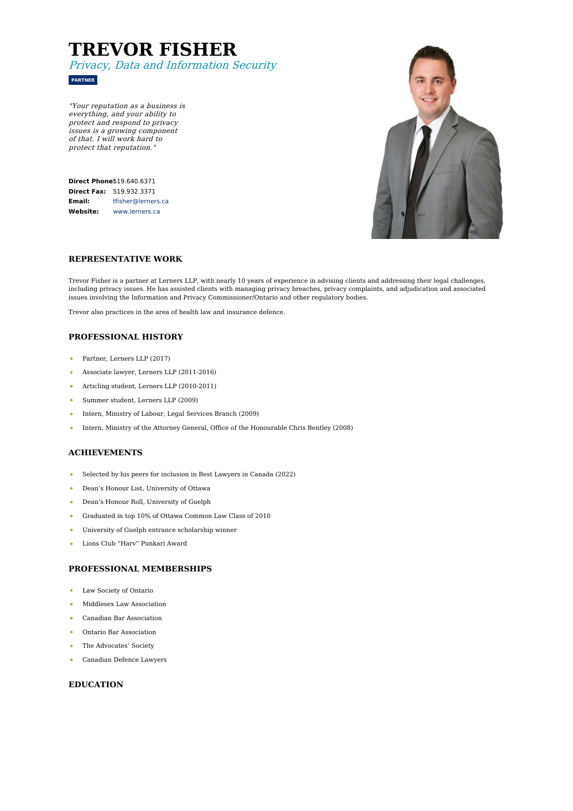# **TREVOR FISHER** Privacy, Data and Information Security



"Your reputation as <sup>a</sup> business is everything, and your ability to protect and respond to privacy issues is <sup>a</sup> growing component of that. I will work hard to protect that reputation."

| <b>Direct Phone519.640.6371</b> |                    |
|---------------------------------|--------------------|
| Direct Fax:                     | 519.932.3371       |
| Email:                          | tfisher@lerners.ca |
| Website:                        | www.lerners.ca     |



#### **REPRESENTATIVE WORK**

Trevor Fisher is a partner at Lerners LLP, with nearly 10 years of experience in advising clients and addressing their legal challenges, including privacy issues. He has assisted clients with managing privacy breaches, privacy complaints, and adjudication and associated issues involving the Information and Privacy Commissioner/Ontario and other regulatory bodies.

Trevor also practices in the area of health law and insurance defence.

### **PROFESSIONAL HISTORY**

- $\Delta$  . Partner, Lerners LLP (2017)
- Associate lawyer, Lerners LLP (2011-2016)
- $\bullet$ Articling student, Lerners LLP (2010-2011)
- Summer student, Lerners LLP (2009)
- Intern, Ministry of Labour, Legal Services Branch (2009)  $\ddot{\bullet}$
- Intern, Ministry of the Attorney General, Office of the Honourable Chris Bentley (2008)  $\bullet$

#### **ACHIEVEMENTS**

- Selected by his peers for inclusion in Best Lawyers in Canada (2022)  $\Delta \tau$
- Dean's Honour List, University of Ottawa  $\mathbf{a}^{\top}$
- Dean's Honour Roll, University of Guelph  $\bullet$  .
- $\bullet$ Graduated in top 10% of Ottawa Common Law Class of 2010
- University of Guelph entrance scholarship winner
- Lions Club "Harv" Punkari Award

#### **PROFESSIONAL MEMBERSHIPS**

- Law Society of Ontario  $\bullet$  .
- Middlesex Law Association  $\triangle$
- Canadian Bar Association  $\bullet$  .
- Ontario Bar Association
- The Advocates' Society
- Canadian Defence Lawyers

### **EDUCATION**